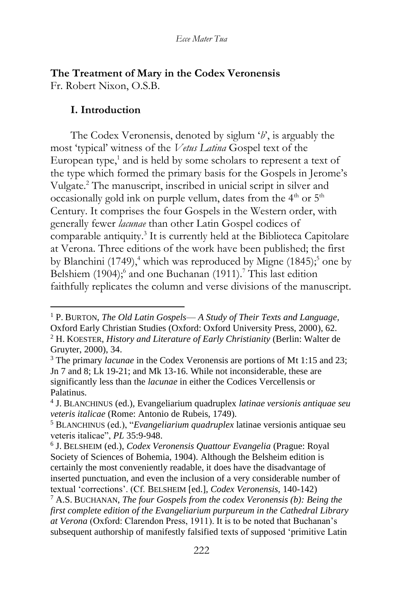## **The Treatment of Mary in the Codex Veronensis**  Fr. Robert Nixon, O.S.B.

#### **I. Introduction**

The Codex Veronensis, denoted by siglum '*b*', is arguably the most 'typical' witness of the *Vetus Latina* Gospel text of the European type,<sup>1</sup> and is held by some scholars to represent a text of the type which formed the primary basis for the Gospels in Jerome's Vulgate.<sup>2</sup> The manuscript, inscribed in unicial script in silver and occasionally gold ink on purple vellum, dates from the  $4<sup>th</sup>$  or  $5<sup>th</sup>$ Century. It comprises the four Gospels in the Western order, with generally fewer *lacunae* than other Latin Gospel codices of comparable antiquity.<sup>3</sup> It is currently held at the Biblioteca Capitolare at Verona. Three editions of the work have been published; the first by Blanchini (1749),<sup>4</sup> which was reproduced by Migne (1845);<sup>5</sup> one by Belshiem (1904);<sup>6</sup> and one Buchanan (1911).<sup>7</sup> This last edition faithfully replicates the column and verse divisions of the manuscript.

<sup>1</sup> P. BURTON, *The Old Latin Gospels*— *A Study of Their Texts and Language,*  Oxford Early Christian Studies (Oxford: Oxford University Press, 2000), 62. <sup>2</sup> H. KOESTER, *History and Literature of Early Christianity* (Berlin: Walter de Gruyter, 2000), 34.

<sup>3</sup> The primary *lacunae* in the Codex Veronensis are portions of Mt 1:15 and 23; Jn 7 and 8; Lk 19-21; and Mk 13-16. While not inconsiderable, these are significantly less than the *lacunae* in either the Codices Vercellensis or Palatinus.

<sup>4</sup> J. BLANCHINUS (ed.)*,* Evangeliarium quadruplex *latinae versionis antiquae seu veteris italicae* (Rome: Antonio de Rubeis, 1749).

<sup>5</sup> BLANCHINUS (ed.), "*Evangeliarium quadruplex* latinae versionis antiquae seu veteris italicae", *PL* 35:9-948.

<sup>6</sup> J. BELSHEIM (ed.), *Codex Veronensis Quattour Evangelia* (Prague: Royal Society of Sciences of Bohemia, 1904). Although the Belsheim edition is certainly the most conveniently readable, it does have the disadvantage of inserted punctuation, and even the inclusion of a very considerable number of textual 'corrections'. (Cf. BELSHEIM [ed.], *Codex Veronensis,* 140-142)

<sup>7</sup> A.S. BUCHANAN, *The four Gospels from the codex Veronensis (b): Being the first complete edition of the Evangeliarium purpureum in the Cathedral Library at Verona* (Oxford: Clarendon Press, 1911). It is to be noted that Buchanan's subsequent authorship of manifestly falsified texts of supposed 'primitive Latin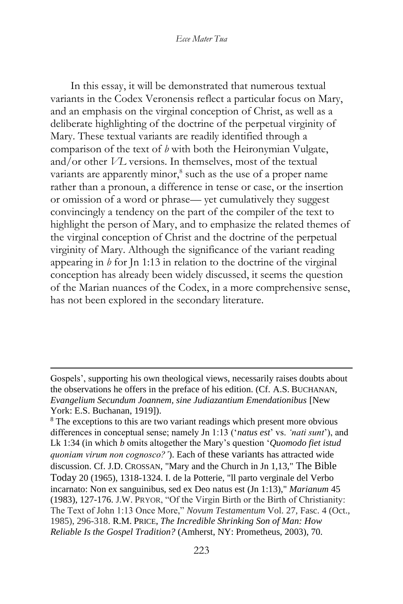In this essay, it will be demonstrated that numerous textual variants in the Codex Veronensis reflect a particular focus on Mary, and an emphasis on the virginal conception of Christ, as well as a deliberate highlighting of the doctrine of the perpetual virginity of Mary. These textual variants are readily identified through a comparison of the text of *b* with both the Heironymian Vulgate, and/or other *VL* versions. In themselves, most of the textual variants are apparently minor,<sup>8</sup> such as the use of a proper name rather than a pronoun, a difference in tense or case, or the insertion or omission of a word or phrase— yet cumulatively they suggest convincingly a tendency on the part of the compiler of the text to highlight the person of Mary, and to emphasize the related themes of the virginal conception of Christ and the doctrine of the perpetual virginity of Mary. Although the significance of the variant reading appearing in *b* for Jn 1:13 in relation to the doctrine of the virginal conception has already been widely discussed, it seems the question of the Marian nuances of the Codex, in a more comprehensive sense, has not been explored in the secondary literature.

Gospels', supporting his own theological views, necessarily raises doubts about the observations he offers in the preface of his edition. (Cf. A.S. BUCHANAN, *Evangelium Secundum Joannem, sine Judiazantium Emendationibus* [New York: E.S. Buchanan, 1919]).

<sup>&</sup>lt;sup>8</sup> The exceptions to this are two variant readings which present more obvious differences in conceptual sense; namely Jn 1:13 ('*natus est*' vs. *'nati sunt*'), and Lk 1:34 (in which *b* omits altogether the Mary's question '*Quomodo fiet istud quoniam virum non cognosco?'*). Each of these variants has attracted wide discussion. Cf. J.D. CROSSAN, "Mary and the Church in Jn 1,13," The Bible Today 20 (1965), 1318-1324. I. de la Potterie, "ll parto verginale del Verbo incarnato: Non ex sanguinibus, sed ex Deo natus est (Jn 1:13)," *Marianum* 45 (1983), 127-176. J.W. PRYOR, "Of the Virgin Birth or the Birth of Christianity: The Text of John 1:13 Once More," *Novum Testamentum* Vol. 27, Fasc. 4 (Oct., 1985), 296-318. R.M. PRICE, *The Incredible Shrinking Son of Man: How Reliable Is the Gospel Tradition?* (Amherst, NY: Prometheus, 2003), 70.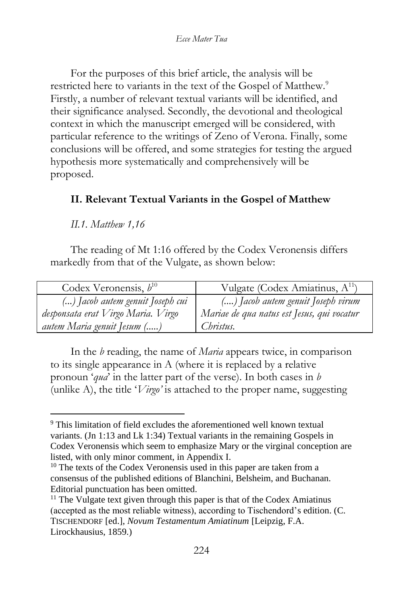For the purposes of this brief article, the analysis will be restricted here to variants in the text of the Gospel of Matthew.<sup>9</sup> Firstly, a number of relevant textual variants will be identified, and their significance analysed. Secondly, the devotional and theological context in which the manuscript emerged will be considered, with particular reference to the writings of Zeno of Verona. Finally, some conclusions will be offered, and some strategies for testing the argued hypothesis more systematically and comprehensively will be proposed.

## **II. Relevant Textual Variants in the Gospel of Matthew**

*II.1. Matthew 1,16*

The reading of Mt 1:16 offered by the Codex Veronensis differs markedly from that of the Vulgate, as shown below:

| Codex Veronensis, $b^{10}$         | Vulgate (Codex Amiatinus, A <sup>11</sup> ) |
|------------------------------------|---------------------------------------------|
| () Jacob autem genuit Joseph cui   | () Jacob autem genuit Joseph virum          |
| desponsata erat Virgo Maria. Virgo | Mariae de qua natus est Jesus, qui vocatur  |
| <i>autem Maria genuit Jesum ()</i> | Christus.                                   |

In the *b* reading, the name of *Maria* appears twice, in comparison to its single appearance in A (where it is replaced by a relative pronoun '*qua*' in the latter part of the verse). In both cases in *b*  (unlike A), the title '*Virgo'* is attached to the proper name, suggesting

<sup>&</sup>lt;sup>9</sup> This limitation of field excludes the aforementioned well known textual variants. (Jn 1:13 and Lk 1:34) Textual variants in the remaining Gospels in Codex Veronensis which seem to emphasize Mary or the virginal conception are listed, with only minor comment, in Appendix I.

 $10$  The texts of the Codex Veronensis used in this paper are taken from a consensus of the published editions of Blanchini, Belsheim, and Buchanan. Editorial punctuation has been omitted.

 $11$  The Vulgate text given through this paper is that of the Codex Amiatinus (accepted as the most reliable witness), according to Tischendord's edition. (C. TISCHENDORF [ed.], *Novum Testamentum Amiatinum* [Leipzig, F.A. Lirockhausius, 1859.)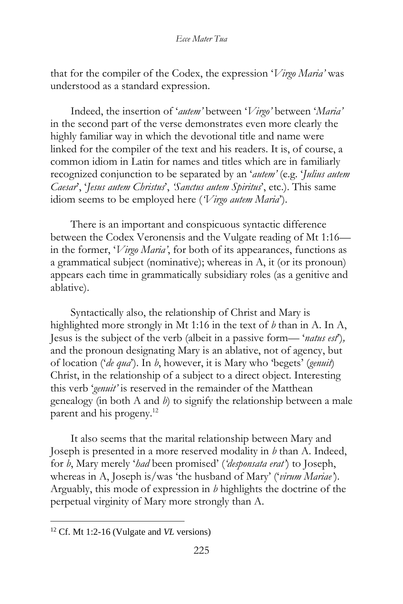that for the compiler of the Codex, the expression '*Virgo Maria'* was understood as a standard expression.

Indeed, the insertion of '*autem'* between '*Virgo'* between '*Maria'*  in the second part of the verse demonstrates even more clearly the highly familiar way in which the devotional title and name were linked for the compiler of the text and his readers. It is, of course, a common idiom in Latin for names and titles which are in familiarly recognized conjunction to be separated by an '*autem'* (e.g. '*Julius autem Caesar*', '*Jesus autem Christus*', *'Sanctus autem Spiritus*', etc.). This same idiom seems to be employed here (*'Virgo autem Maria*').

There is an important and conspicuous syntactic difference between the Codex Veronensis and the Vulgate reading of Mt 1:16 in the former, '*Virgo Maria'*, for both of its appearances, functions as a grammatical subject (nominative); whereas in A, it (or its pronoun) appears each time in grammatically subsidiary roles (as a genitive and ablative).

Syntactically also, the relationship of Christ and Mary is highlighted more strongly in Mt 1:16 in the text of *b* than in A. In A, Jesus is the subject of the verb (albeit in a passive form— '*natus est*')*,*  and the pronoun designating Mary is an ablative, not of agency, but of location ('*de qua*'). In *b*, however, it is Mary who 'begets' (*genuit*) Christ, in the relationship of a subject to a direct object. Interesting this verb '*genuit'* is reserved in the remainder of the Matthean genealogy (in both A and *b*) to signify the relationship between a male parent and his progeny.<sup>12</sup>

It also seems that the marital relationship between Mary and Joseph is presented in a more reserved modality in *b* than A. Indeed, for *b*, Mary merely '*had* been promised' (*'desponsata erat'*) to Joseph, whereas in A, Joseph is/was 'the husband of Mary' ('*virum Mariae'*). Arguably, this mode of expression in *b* highlights the doctrine of the perpetual virginity of Mary more strongly than A.

<sup>12</sup> Cf. Mt 1:2-16 (Vulgate and *VL* versions)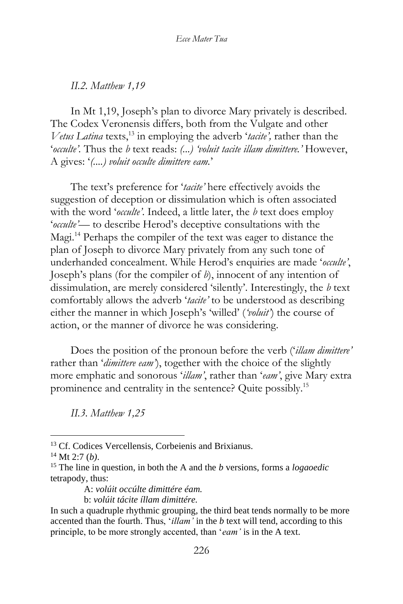*II.2. Matthew 1,19*

In Mt 1,19, Joseph's plan to divorce Mary privately is described. The Codex Veronensis differs, both from the Vulgate and other *Vetus Latina* texts,<sup>13</sup> in employing the adverb '*tacite'*, rather than the '*occulte'.* Thus the *b* text reads: *(...) 'voluit tacite illam dimittere.'* However, A gives: '*(....) voluit occulte dimittere eam.*'

The text's preference for '*tacite'* here effectively avoids the suggestion of deception or dissimulation which is often associated with the word '*occulte'*. Indeed, a little later, the *b* text does employ '*occulte'*— to describe Herod's deceptive consultations with the Magi.<sup>14</sup> Perhaps the compiler of the text was eager to distance the plan of Joseph to divorce Mary privately from any such tone of underhanded concealment. While Herod's enquiries are made '*occulte'*, Joseph's plans (for the compiler of *b*), innocent of any intention of dissimulation, are merely considered 'silently'. Interestingly, the *b* text comfortably allows the adverb '*tacite'* to be understood as describing either the manner in which Joseph's 'willed' (*'voluit'*) the course of action, or the manner of divorce he was considering.

Does the position of the pronoun before the verb ('*illam dimittere'* rather than '*dimittere eam'*), together with the choice of the slightly more emphatic and sonorous '*illam'*, rather than '*eam'*, give Mary extra prominence and centrality in the sentence? Quite possibly.<sup>15</sup>

*II.3. Matthew 1,25*

b: *volúit tácite íllam dimittére.*

<sup>13</sup> Cf. Codices Vercellensis, Corbeienis and Brixianus.

<sup>14</sup> Mt 2:7 (*b)*.

<sup>15</sup> The line in question, in both the A and the *b* versions, forms a *logaoedic*  tetrapody, thus:

A: *volúit occúlte dimittére éam.*

In such a quadruple rhythmic grouping, the third beat tends normally to be more accented than the fourth. Thus, '*illam'* in the *b* text will tend, according to this principle, to be more strongly accented, than '*eam'* is in the A text.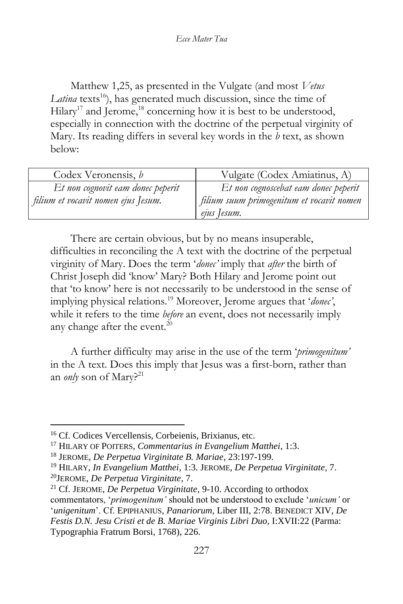Matthew 1,25, as presented in the Vulgate (and most *Vetus*  Latina texts<sup>16</sup>), has generated much discussion, since the time of Hilary<sup>17</sup> and Jerome,<sup>18</sup> concerning how it is best to be understood, especially in connection with the doctrine of the perpetual virginity of Mary. Its reading differs in several key words in the *b* text, as shown below:

| Codex Veronensis, b                 | Vulgate (Codex Amiatinus, A)              |
|-------------------------------------|-------------------------------------------|
| Et non cognovit eam donec peperit   | Et non cognoscebat eam donec peperit      |
| filium et vocavit nomen ejus Jesum. | filium suum primogenitum et vocavit nomen |
|                                     | ejus Jesum.                               |

There are certain obvious, but by no means insuperable, difficulties in reconciling the A text with the doctrine of the perpetual virginity of Mary. Does the term '*donec'* imply that *after* the birth of Christ Joseph did 'know' Mary? Both Hilary and Jerome point out that 'to know' here is not necessarily to be understood in the sense of implying physical relations.<sup>19</sup> Moreover, Jerome argues that '*donec'*, while it refers to the time *before* an event, does not necessarily imply any change after the event.<sup>20</sup>

A further difficulty may arise in the use of the term '*primogenitum'*  in the A text. Does this imply that Jesus was a first-born, rather than an *only* son of Mary?<sup>21</sup>

<sup>16</sup> Cf. Codices Vercellensis, Corbeienis, Brixianus, etc.

<sup>17</sup> HILARY OF POITERS, *Commentarius in Evangelium Matthei*, 1:3.

<sup>18</sup> JEROME, *De Perpetua Virginitate B. Mariae*, 23:197-199.

<sup>19</sup> HILARY, *In Evangelium Matthei*, 1:3. JEROME, *De Perpetua Virginitate*, 7.

<sup>20</sup>JEROME, *De Perpetua Virginitate*, 7.

<sup>21</sup> Cf. JEROME, *De Perpetua Virginitate*, 9-10. According to orthodox commentators, '*primogenitum'* should not be understood to exclude '*unicum'* or '*unigenitum*'. Cf. EPIPHANIUS, *Panariorum,* Liber III, 2:78. BENEDICT XIV, *De Festis D.N. Jesu Cristi et de B. Mariae Virginis Libri Duo,* I:XVII:22 (Parma: Typographia Fratrum Borsi, 1768), 226.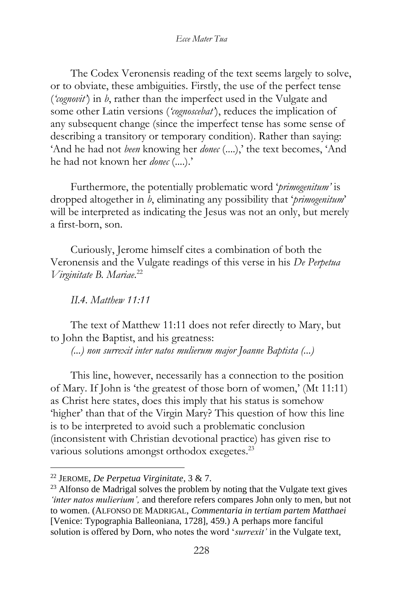The Codex Veronensis reading of the text seems largely to solve, or to obviate, these ambiguities. Firstly, the use of the perfect tense (*'cognovit'*) in *b*, rather than the imperfect used in the Vulgate and some other Latin versions (*'cognoscebat'*), reduces the implication of any subsequent change (since the imperfect tense has some sense of describing a transitory or temporary condition). Rather than saying: 'And he had not *been* knowing her *donec* (....),' the text becomes, 'And he had not known her *donec* (....).'

Furthermore, the potentially problematic word '*primogenitum'* is dropped altogether in *b*, eliminating any possibility that '*primogenitum*' will be interpreted as indicating the Jesus was not an only, but merely a first-born, son.

Curiously, Jerome himself cites a combination of both the Veronensis and the Vulgate readings of this verse in his *De Perpetua Virginitate B. Mariae*. 22

*II.4. Matthew 11:11*

The text of Matthew 11:11 does not refer directly to Mary, but to John the Baptist, and his greatness:

*(...) non surrexit inter natos mulierum major Joanne Baptista (...)*

This line, however, necessarily has a connection to the position of Mary. If John is 'the greatest of those born of women,' (Mt 11:11) as Christ here states, does this imply that his status is somehow 'higher' than that of the Virgin Mary? This question of how this line is to be interpreted to avoid such a problematic conclusion (inconsistent with Christian devotional practice) has given rise to various solutions amongst orthodox exegetes.<sup>23</sup>

<sup>22</sup> JEROME, *De Perpetua Virginitate*, 3 & 7.

 $23$  Alfonso de Madrigal solves the problem by noting that the Vulgate text gives *'inter natos mulierium',* and therefore refers compares John only to men, but not to women. (ALFONSO DE MADRIGAL, *Commentaria in tertiam partem Matthaei* [Venice: Typographia Balleoniana, 1728], 459.) A perhaps more fanciful solution is offered by Dorn, who notes the word '*surrexit'* in the Vulgate text,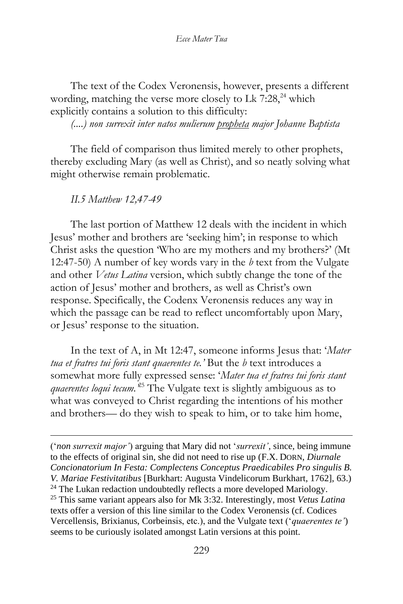The text of the Codex Veronensis, however, presents a different wording, matching the verse more closely to Lk  $7:28$ ,  $24$  which explicitly contains a solution to this difficulty:

*(....) non surrexit inter natos mulierum propheta major Johanne Baptista*

The field of comparison thus limited merely to other prophets, thereby excluding Mary (as well as Christ), and so neatly solving what might otherwise remain problematic.

*II.5 Matthew 12,47-49*

The last portion of Matthew 12 deals with the incident in which Jesus' mother and brothers are 'seeking him'; in response to which Christ asks the question 'Who are my mothers and my brothers?' (Mt 12:47-50) A number of key words vary in the *b* text from the Vulgate and other *Vetus Latina* version, which subtly change the tone of the action of Jesus' mother and brothers, as well as Christ's own response. Specifically, the Codenx Veronensis reduces any way in which the passage can be read to reflect uncomfortably upon Mary, or Jesus' response to the situation.

In the text of A, in Mt 12:47, someone informs Jesus that: '*Mater tua et fratres tui foris stant quaerentes te.'* But the *b* text introduces a somewhat more fully expressed sense: '*Mater tua et fratres tui foris stant quaerentes loqui tecum.'*<sup>25</sup> The Vulgate text is slightly ambiguous as to what was conveyed to Christ regarding the intentions of his mother and brothers— do they wish to speak to him, or to take him home,

('*non surrexit major'*) arguing that Mary did not '*surrexit'*, since, being immune to the effects of original sin, she did not need to rise up (F.X. DORN, *Diurnale Concionatorium In Festa: Complectens Conceptus Praedicabiles Pro singulis B. V. Mariae Festivitatibus* [Burkhart: Augusta Vindelicorum Burkhart, 1762], 63.) <sup>24</sup> The Lukan redaction undoubtedly reflects a more developed Mariology. <sup>25</sup> This same variant appears also for Mk 3:32. Interestingly, most *Vetus Latina* texts offer a version of this line similar to the Codex Veronensis (cf. Codices Vercellensis, Brixianus, Corbeinsis, etc.), and the Vulgate text ('*quaerentes te'*) seems to be curiously isolated amongst Latin versions at this point.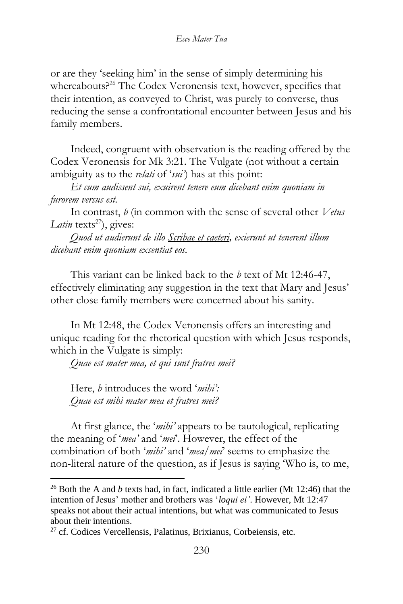or are they 'seeking him' in the sense of simply determining his whereabouts?<sup>26</sup> The Codex Veronensis text, however, specifies that their intention, as conveyed to Christ, was purely to converse, thus reducing the sense a confrontational encounter between Jesus and his family members.

Indeed, congruent with observation is the reading offered by the Codex Veronensis for Mk 3:21. The Vulgate (not without a certain ambiguity as to the *relati* of '*sui'*) has at this point:

*Et cum audissent sui, exuirent tenere eum dicebant enim quoniam in furorem versus est.*

In contrast, *b* (in common with the sense of several other *Vetus Latin* texts<sup>27</sup>), gives:

*Quod ut audierunt de illo Scribae et caeteri, exierunt ut tenerent illum dicebant enim quoniam exsentiat eos.*

This variant can be linked back to the *b* text of Mt 12:46-47, effectively eliminating any suggestion in the text that Mary and Jesus' other close family members were concerned about his sanity.

In Mt 12:48, the Codex Veronensis offers an interesting and unique reading for the rhetorical question with which Jesus responds, which in the Vulgate is simply:

*Quae est mater mea, et qui sunt fratres mei?*

Here, *b* introduces the word '*mihi': Quae est mihi mater mea et fratres mei?*

At first glance, the '*mihi'* appears to be tautological, replicating the meaning of '*mea'* and '*mei*'. However, the effect of the combination of both '*mihi'* and '*mea/mei*' seems to emphasize the non-literal nature of the question, as if Jesus is saying 'Who is, to me,

<sup>26</sup> Both the A and *b* texts had, in fact, indicated a little earlier (Mt 12:46) that the intention of Jesus' mother and brothers was '*loqui ei'*. However, Mt 12:47 speaks not about their actual intentions, but what was communicated to Jesus about their intentions.

 $^{27}$  cf. Codices Vercellensis, Palatinus, Brixianus, Corbeiensis, etc.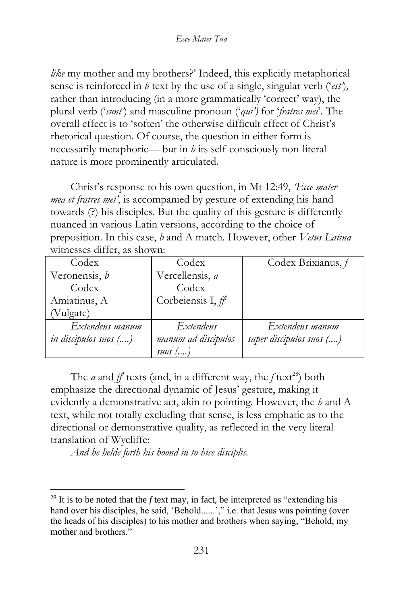*like* my mother and my brothers?' Indeed, this explicitly metaphorical sense is reinforced in *b* text by the use of a single, singular verb ('*est'*)*,*  rather than introducing (in a more grammatically 'correct' way), the plural verb ('*sunt'*) and masculine pronoun ('*qui')* for '*fratres mei*'*.* The overall effect is to 'soften' the otherwise difficult effect of Christ's rhetorical question. Of course, the question in either form is necessarily metaphoric— but in *b* its self-consciously non-literal nature is more prominently articulated.

Christ's response to his own question, in Mt 12:49, *Ecce mater mea et fratres mei'*, is accompanied by gesture of extending his hand towards (?) his disciples. But the quality of this gesture is differently nuanced in various Latin versions, according to the choice of preposition. In this case, *b* and A match. However, other *Vetus Latina*  witnesses differ, as shown:

| Codex                 | Codex                | Codex Brixianus, f       |
|-----------------------|----------------------|--------------------------|
| Veronensis, b         | Vercellensis, a      |                          |
| Codex                 | Codex                |                          |
| Amiatinus, A          | Corbeiensis I, $f$   |                          |
| (Vulgate)             |                      |                          |
| Extendens manum       | Extendens            | Extendens manum          |
| in discipulos suos () | manum ad discipulos  | super discipulos suos () |
|                       | $\mathcal{SUS}$ $()$ |                          |

The *a* and  $f$ <sup>*f*</sup> texts (and, in a different way, the *f* text<sup>28</sup>) both emphasize the directional dynamic of Jesus' gesture, making it evidently a demonstrative act, akin to pointing. However, the *b* and A text, while not totally excluding that sense, is less emphatic as to the directional or demonstrative quality, as reflected in the very literal translation of Wycliffe:

*And he helde forth his hoond in to hise disciplis.*

 $^{28}$  It is to be noted that the *f* text may, in fact, be interpreted as "extending his hand over his disciples, he said, 'Behold......'," i.e. that Jesus was pointing (over the heads of his disciples) to his mother and brothers when saying, "Behold, my mother and brothers."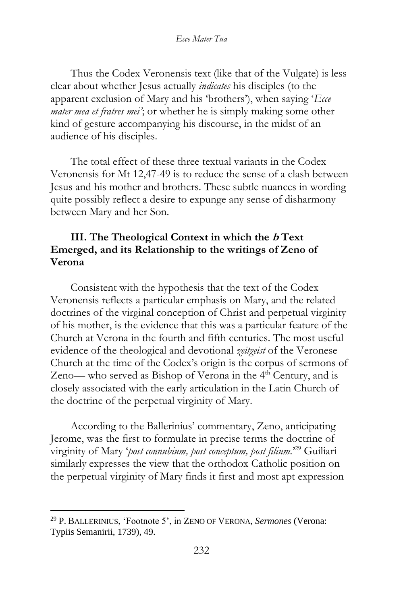Thus the Codex Veronensis text (like that of the Vulgate) is less clear about whether Jesus actually *indicates* his disciples (to the apparent exclusion of Mary and his 'brothers'), when saying '*Ecce mater mea et fratres mei'*; or whether he is simply making some other kind of gesture accompanying his discourse, in the midst of an audience of his disciples.

The total effect of these three textual variants in the Codex Veronensis for Mt 12,47-49 is to reduce the sense of a clash between Jesus and his mother and brothers. These subtle nuances in wording quite possibly reflect a desire to expunge any sense of disharmony between Mary and her Son.

### **III. The Theological Context in which the b Text Emerged, and its Relationship to the writings of Zeno of Verona**

Consistent with the hypothesis that the text of the Codex Veronensis reflects a particular emphasis on Mary, and the related doctrines of the virginal conception of Christ and perpetual virginity of his mother, is the evidence that this was a particular feature of the Church at Verona in the fourth and fifth centuries. The most useful evidence of the theological and devotional *zeitgeist* of the Veronese Church at the time of the Codex's origin is the corpus of sermons of Zeno— who served as Bishop of Verona in the  $4<sup>th</sup>$  Century, and is closely associated with the early articulation in the Latin Church of the doctrine of the perpetual virginity of Mary.

According to the Ballerinius' commentary, Zeno, anticipating Jerome, was the first to formulate in precise terms the doctrine of virginity of Mary '*post connubium, post conceptum, post filium.*' <sup>29</sup> Guiliari similarly expresses the view that the orthodox Catholic position on the perpetual virginity of Mary finds it first and most apt expression

<sup>29</sup> P. BALLERINIUS, 'Footnote 5', in ZENO OF VERONA, *Sermones* (Verona: Typiis Semanirii, 1739), 49.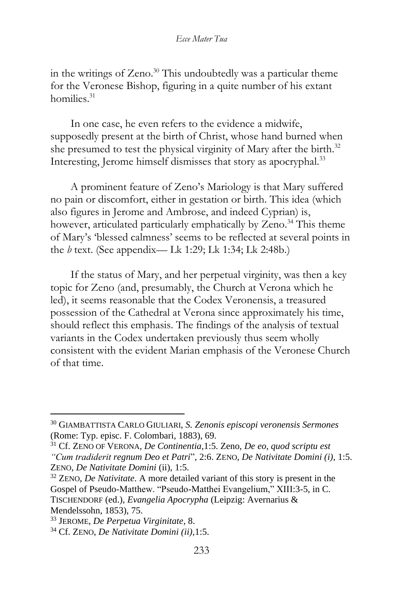#### *Ecce Mater Tua*

in the writings of Zeno.<sup>30</sup> This undoubtedly was a particular theme for the Veronese Bishop, figuring in a quite number of his extant homilies.<sup>31</sup>

In one case, he even refers to the evidence a midwife, supposedly present at the birth of Christ, whose hand burned when she presumed to test the physical virginity of Mary after the birth.<sup>32</sup> Interesting, Jerome himself dismisses that story as apocryphal.<sup>33</sup>

A prominent feature of Zeno's Mariology is that Mary suffered no pain or discomfort, either in gestation or birth. This idea (which also figures in Jerome and Ambrose, and indeed Cyprian) is, however, articulated particularly emphatically by Zeno.<sup>34</sup> This theme of Mary's 'blessed calmness' seems to be reflected at several points in the *b* text. (See appendix— Lk 1:29; Lk 1:34; Lk 2:48b.)

If the status of Mary, and her perpetual virginity, was then a key topic for Zeno (and, presumably, the Church at Verona which he led), it seems reasonable that the Codex Veronensis, a treasured possession of the Cathedral at Verona since approximately his time, should reflect this emphasis. The findings of the analysis of textual variants in the Codex undertaken previously thus seem wholly consistent with the evident Marian emphasis of the Veronese Church of that time.

<sup>30</sup> GIAMBATTISTA CARLO GIULIARI, *S. Zenonis episcopi veronensis Sermones*  (Rome: Typ. episc. F. Colombari, 1883), 69.

<sup>31</sup> Cf. ZENO OF VERONA, *De Continentia*,1:5. Zeno, *De eo, quod scriptu est "Cum tradiderit regnum Deo et Patri*", 2:6. ZENO, *De Nativitate Domini (i)*, 1:5. ZENO, *De Nativitate Domini* (ii), 1:5.

<sup>32</sup> ZENO, *De Nativitate*. A more detailed variant of this story is present in the Gospel of Pseudo-Matthew. "Pseudo-Matthei Evangelium," XIII:3-5, in C. TISCHENDORF (ed.), *Evangelia Apocrypha* (Leipzig: Avernarius & Mendelssohn, 1853), 75.

<sup>33</sup> JEROME, *De Perpetua Virginitate*, 8.

<sup>34</sup> Cf. ZENO, *De Nativitate Domini (ii),*1:5.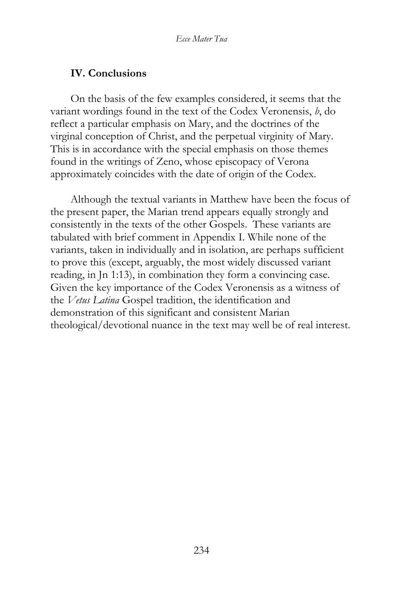#### **IV. Conclusions**

On the basis of the few examples considered, it seems that the variant wordings found in the text of the Codex Veronensis, *b*, do reflect a particular emphasis on Mary, and the doctrines of the virginal conception of Christ, and the perpetual virginity of Mary. This is in accordance with the special emphasis on those themes found in the writings of Zeno, whose episcopacy of Verona approximately coincides with the date of origin of the Codex.

Although the textual variants in Matthew have been the focus of the present paper, the Marian trend appears equally strongly and consistently in the texts of the other Gospels. These variants are tabulated with brief comment in Appendix I. While none of the variants, taken in individually and in isolation, are perhaps sufficient to prove this (except, arguably, the most widely discussed variant reading, in Jn 1:13), in combination they form a convincing case. Given the key importance of the Codex Veronensis as a witness of the *Vetus Latina* Gospel tradition, the identification and demonstration of this significant and consistent Marian theological/devotional nuance in the text may well be of real interest.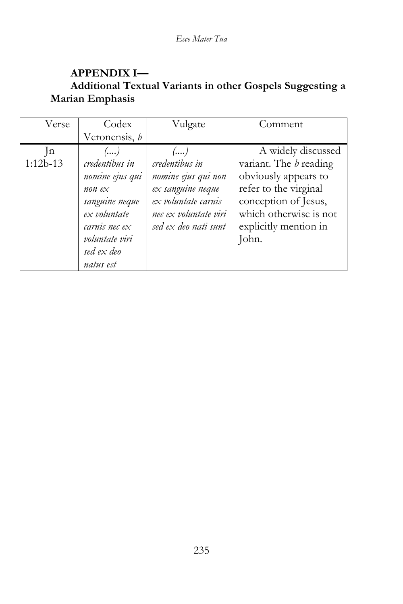# **APPENDIX I— Additional Textual Variants in other Gospels Suggesting a Marian Emphasis**

| Verse               | Codex                                                                                                                                    | Vulgate                                                                                                                                  | Comment                                                                                                                                                                                  |
|---------------------|------------------------------------------------------------------------------------------------------------------------------------------|------------------------------------------------------------------------------------------------------------------------------------------|------------------------------------------------------------------------------------------------------------------------------------------------------------------------------------------|
|                     | Veronensis, b                                                                                                                            |                                                                                                                                          |                                                                                                                                                                                          |
| $\ln$<br>$1:12b-13$ | ()<br>credentibus in<br>nomine ejus qui<br>non $ex$<br>sanguine neque<br>ex voluntate<br>carnis nec $ex$<br>voluntate viri<br>sed ex deo | ()<br>credentibus in<br>nomine ejus qui non<br>ex sanguine neque<br>ex voluntate carnis<br>nec ex voluntate viri<br>sed ex deo nati sunt | A widely discussed<br>variant. The <i>b</i> reading<br>obviously appears to<br>refer to the virginal<br>conception of Jesus,<br>which otherwise is not<br>explicitly mention in<br>John. |
|                     | natus est                                                                                                                                |                                                                                                                                          |                                                                                                                                                                                          |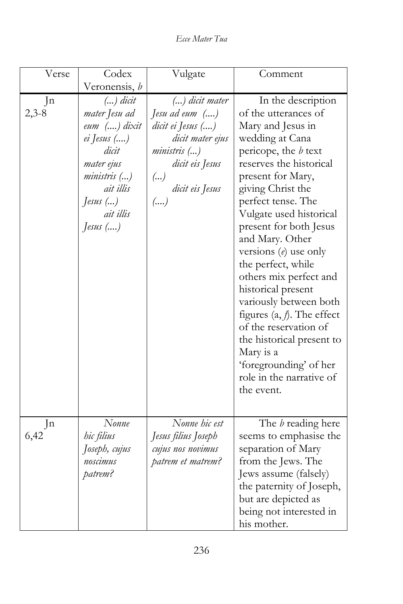*Ecce Mater Tua*

| Verse         | Codex                                                                                                                                                 | Vulgate                                                                                                                                              | Comment                                                                                                                                                                                                                                                                                                                                                                                                                                                                                                                                                                            |
|---------------|-------------------------------------------------------------------------------------------------------------------------------------------------------|------------------------------------------------------------------------------------------------------------------------------------------------------|------------------------------------------------------------------------------------------------------------------------------------------------------------------------------------------------------------------------------------------------------------------------------------------------------------------------------------------------------------------------------------------------------------------------------------------------------------------------------------------------------------------------------------------------------------------------------------|
|               | Veronensis, b                                                                                                                                         |                                                                                                                                                      |                                                                                                                                                                                                                                                                                                                                                                                                                                                                                                                                                                                    |
| Jn<br>$2,3-8$ | $()$ dicit<br>mater Jesu ad<br>eum () dixit<br>ei Jesus ()<br>dicit<br>mater ejus<br>ministris ()<br>ait illis<br>Jesus $()$<br>ait illis<br>Jesus () | $()$ dicit mater<br>Jesu ad eum ()<br>dicit ei Jesus ()<br>dicit mater ejus<br><i>ministris</i> ()<br>dicit eis Jesus<br>()<br>dicit eis Jesus<br>() | In the description<br>of the utterances of<br>Mary and Jesus in<br>wedding at Cana<br>pericope, the $b$ text<br>reserves the historical<br>present for Mary,<br>giving Christ the<br>perfect tense. The<br>Vulgate used historical<br>present for both Jesus<br>and Mary. Other<br>versions $(e)$ use only<br>the perfect, while<br>others mix perfect and<br>historical present<br>variously between both<br>figures $(a, f)$ . The effect<br>of the reservation of<br>the historical present to<br>Mary is a<br>'foregrounding' of her<br>role in the narrative of<br>the event. |
| Jn<br>6,42    | Nonne<br>hic filius<br>Joseph, cujus<br>noscimus<br>patrem?                                                                                           | Nonne hic est<br>Jesus filius Joseph<br>cujus nos novimus<br>patrem et matrem?                                                                       | The <i>b</i> reading here<br>seems to emphasise the<br>separation of Mary<br>from the Jews. The<br>Jews assume (falsely)<br>the paternity of Joseph,<br>but are depicted as<br>being not interested in<br>his mother.                                                                                                                                                                                                                                                                                                                                                              |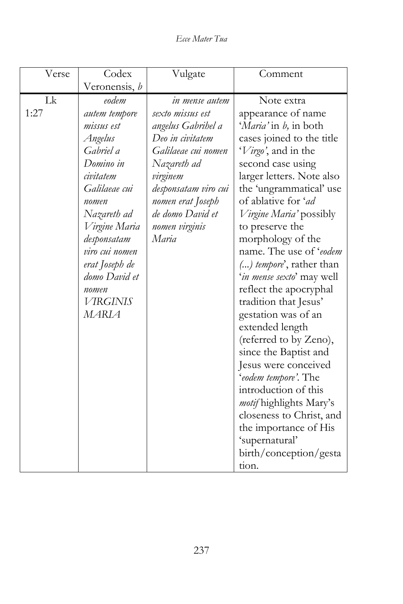*Ecce Mater Tua*

| Verse      | Codex                                                                                                                                                                                                                                                            | Vulgate                                                                                                                                                                                                                    | Comment                                                                                                                                                                                                                                                                                                                                                                                                                                                                                                                                                                                                                                                                                                                                      |
|------------|------------------------------------------------------------------------------------------------------------------------------------------------------------------------------------------------------------------------------------------------------------------|----------------------------------------------------------------------------------------------------------------------------------------------------------------------------------------------------------------------------|----------------------------------------------------------------------------------------------------------------------------------------------------------------------------------------------------------------------------------------------------------------------------------------------------------------------------------------------------------------------------------------------------------------------------------------------------------------------------------------------------------------------------------------------------------------------------------------------------------------------------------------------------------------------------------------------------------------------------------------------|
|            | Veronensis, b                                                                                                                                                                                                                                                    |                                                                                                                                                                                                                            |                                                                                                                                                                                                                                                                                                                                                                                                                                                                                                                                                                                                                                                                                                                                              |
| Lk<br>1:27 | eodem<br>autem tempore<br>missus est<br>Angelus<br>Gabriel a<br>Domino in<br>civitatem<br>Galilaeae cui<br>nomen<br>Nazareth ad<br>Virgine Maria<br>desponsatam<br>viro cui nomen<br>erat Joseph de<br>domo David et<br>nomen<br><b>VIRGINIS</b><br><b>MARIA</b> | in mense autem<br>sexto missus est<br>angelus Gabrihel a<br>Deo in civitatem<br>Galilaeae cui nomen<br>Nazareth ad<br>virginem<br>desponsatam viro cui<br>nomen erat Joseph<br>de domo David et<br>nomen virginis<br>Maria | Note extra<br>appearance of name<br>'Maria' in b, in both<br>cases joined to the title<br>'Virgo', and in the<br>second case using<br>larger letters. Note also<br>the 'ungrammatical' use<br>of ablative for 'ad<br><i>Virgine Maria'</i> possibly<br>to preserve the<br>morphology of the<br>name. The use of 'eodem<br>() tempore', rather than<br>'in mense sexto' may well<br>reflect the apocryphal<br>tradition that Jesus'<br>gestation was of an<br>extended length<br>(referred to by Zeno),<br>since the Baptist and<br>Jesus were conceived<br>'eodem tempore'. The<br>introduction of this<br>motif highlights Mary's<br>closeness to Christ, and<br>the importance of His<br>'supernatural'<br>birth/conception/gesta<br>tion. |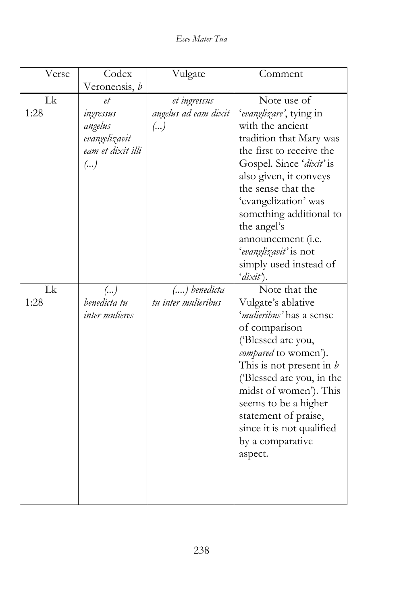*Ecce Mater Tua*

| Verse      | Codex                                                                  | Vulgate                                    | Comment                                                                                                                                                                                                                                                                                                                                            |
|------------|------------------------------------------------------------------------|--------------------------------------------|----------------------------------------------------------------------------------------------------------------------------------------------------------------------------------------------------------------------------------------------------------------------------------------------------------------------------------------------------|
|            | Veronensis, b                                                          |                                            |                                                                                                                                                                                                                                                                                                                                                    |
| Lk<br>1:28 | et<br>ingressus<br>angelus<br>evangelizavit<br>eam et dixit illi<br>() | et ingressus<br>angelus ad eam dixit<br>() | Note use of<br>'evanglizare', tying in<br>with the ancient<br>tradition that Mary was<br>the first to receive the<br>Gospel. Since 'dixit' is<br>also given, it conveys<br>the sense that the<br>'evangelization' was<br>something additional to<br>the angel's<br>announcement (i.e.<br>'evanglizavit' is not<br>simply used instead of<br>'dixit |
| Lk<br>1:28 | $\left(\ldots\right)$<br>benedicta tu<br>inter mulieres                | $()$ benedicta<br>tu inter mulieribus      | Note that the<br>Vulgate's ablative<br>'mulieribus' has a sense<br>of comparison<br>('Blessed are you,<br>compared to women').<br>This is not present in $b$<br>('Blessed are you, in the<br>midst of women'). This<br>seems to be a higher<br>statement of praise,<br>since it is not qualified<br>by a comparative<br>aspect.                    |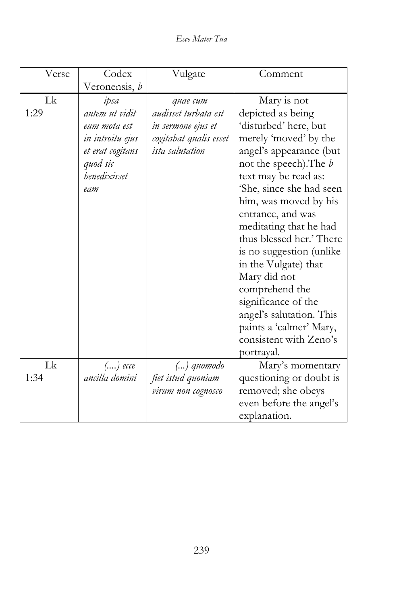*Ecce Mater Tua*

| Verse | Codex            | Vulgate                | Comment                       |
|-------|------------------|------------------------|-------------------------------|
|       | Veronensis, b    |                        |                               |
| Lk    | ipsa             | диае сит               | Mary is not                   |
| 1:29  | autem ut vidit   | audisset turbata est   | depicted as being             |
|       | eum mota est     | in sermone ejus et     | 'disturbed' here, but         |
|       | in introitu ejus | cogitabat qualis esset | merely 'moved' by the         |
|       | et erat cogitans | <i>ista salutation</i> | angel's appearance (but       |
|       | quod sic         |                        | not the speech). The <i>b</i> |
|       | benedixisset     |                        | text may be read as:          |
|       | eam              |                        | 'She, since she had seen      |
|       |                  |                        | him, was moved by his         |
|       |                  |                        | entrance, and was             |
|       |                  |                        | meditating that he had        |
|       |                  |                        | thus blessed her.' There      |
|       |                  |                        | is no suggestion (unlike      |
|       |                  |                        | in the Vulgate) that          |
|       |                  |                        | Mary did not                  |
|       |                  |                        | comprehend the                |
|       |                  |                        | significance of the           |
|       |                  |                        | angel's salutation. This      |
|       |                  |                        | paints a 'calmer' Mary,       |
|       |                  |                        | consistent with Zeno's        |
|       |                  |                        | portrayal.                    |
| Lk    | $()$ ecce        | $()$ quomodo           | Mary's momentary              |
| 1:34  | ancilla domini   | fiet istud quoniam     | questioning or doubt is       |
|       |                  | virum non cognosco     | removed; she obeys            |
|       |                  |                        | even before the angel's       |
|       |                  |                        | explanation.                  |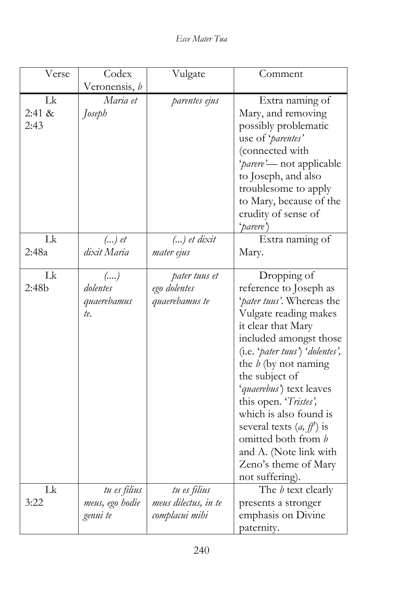*Ecce Mater Tua*

| Verse  | Codex           | Vulgate              | Comment                         |
|--------|-----------------|----------------------|---------------------------------|
|        | Veronensis, b   |                      |                                 |
| Lk     | Maria et        | parentes ejus        | Extra naming of                 |
| 2:41 & | Joseph          |                      | Mary, and removing              |
| 2:43   |                 |                      | possibly problematic            |
|        |                 |                      | use of 'parentes'               |
|        |                 |                      | (connected with                 |
|        |                 |                      | 'parere'- not applicable        |
|        |                 |                      | to Joseph, and also             |
|        |                 |                      | troublesome to apply            |
|        |                 |                      | to Mary, because of the         |
|        |                 |                      | crudity of sense of             |
|        |                 |                      | 'parere')                       |
| Lk     | $()$ et         | $()$ et dixit        | Extra naming of                 |
| 2:48a  | dixit Maria     | mater ejus           | Mary.                           |
|        |                 |                      |                                 |
| Lk     | ()              | pater tuus et        | Dropping of                     |
| 2:48b  | dolentes        | ego dolentes         | reference to Joseph as          |
|        | quaerebamus     | quaerebamus te       | 'pater tuus'. Whereas the       |
|        | te.             |                      | Vulgate reading makes           |
|        |                 |                      | it clear that Mary              |
|        |                 |                      | included amongst those          |
|        |                 |                      | (i.e. 'pater tuus') 'dolentes', |
|        |                 |                      | the $b$ (by not naming          |
|        |                 |                      | the subject of                  |
|        |                 |                      | 'quaerebus') text leaves        |
|        |                 |                      | this open. 'Tristes',           |
|        |                 |                      | which is also found is          |
|        |                 |                      | several texts $(a, ff)$ is      |
|        |                 |                      | omitted both from b             |
|        |                 |                      | and A. (Note link with          |
|        |                 |                      | Zeno's theme of Mary            |
|        |                 |                      | not suffering).                 |
| Lk     | tu es filius    | tu es filius         | The <i>b</i> text clearly       |
| 3:22   | meus, ego hodie | meus dilectus, in te | presents a stronger             |
|        | genui te        | complacui mihi       | emphasis on Divine              |
|        |                 |                      | paternity.                      |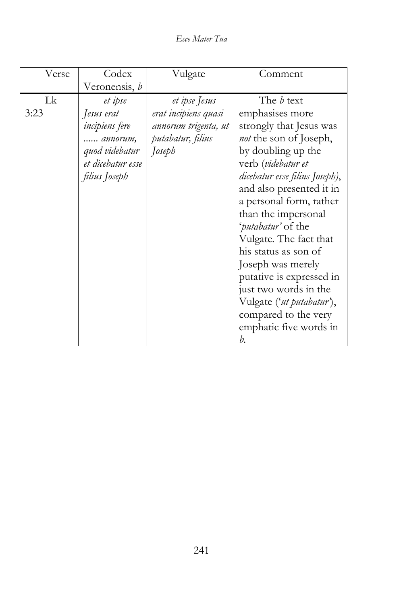*Ecce Mater Tua*

| Verse | Codex                 | Vulgate              | Comment                        |
|-------|-----------------------|----------------------|--------------------------------|
|       | Veronensis, b         |                      |                                |
| Lk    | et ipse               | et ipse Jesus        | The <i>b</i> text              |
| 3:23  | Jesus erat            | erat incipiens quasi | emphasises more                |
|       | <i>incipiens</i> fere | annorum trigenta, ut | strongly that Jesus was        |
|       | annorum,              | putabatur, filius    | <i>not</i> the son of Joseph,  |
|       | quod videbatur        | Joseph               | by doubling up the             |
|       | et dicebatur esse     |                      | verb (videbatur et             |
|       | filius Joseph         |                      | dicebatur esse filius Joseph), |
|       |                       |                      | and also presented it in       |
|       |                       |                      | a personal form, rather        |
|       |                       |                      | than the impersonal            |
|       |                       |                      | 'putabatur' of the             |
|       |                       |                      | Vulgate. The fact that         |
|       |                       |                      | his status as son of           |
|       |                       |                      | Joseph was merely              |
|       |                       |                      | putative is expressed in       |
|       |                       |                      | just two words in the          |
|       |                       |                      | Vulgate ('ut putabatur'),      |
|       |                       |                      | compared to the very           |
|       |                       |                      | emphatic five words in         |
|       |                       |                      | h.                             |